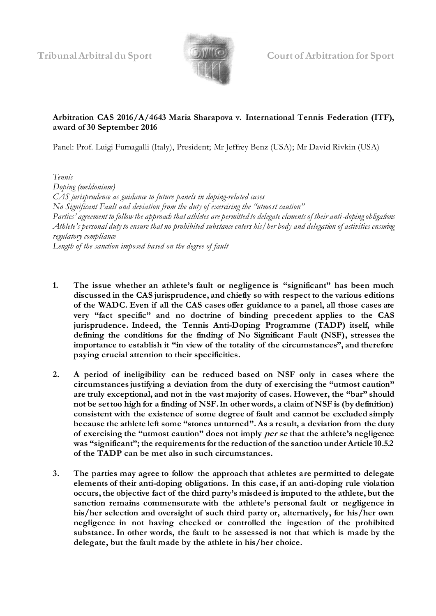

## **Arbitration CAS 2016/A/4643 Maria Sharapova v. International Tennis Federation (ITF), award of 30 September 2016**

Panel: Prof. Luigi Fumagalli (Italy), President; Mr Jeffrey Benz (USA); Mr David Rivkin (USA)

*Tennis Doping (meldonium) CAS jurisprudence as guidance to future panels in doping-related cases No Significant Fault and deviation from the duty of exercising the "utmost caution" Parties' agreement to follow the approach that athletes are permitted to delegate elements of their anti-doping obligations Athlete's personal duty to ensure that no prohibited substance enters his/her body and delegation of activities ensuring regulatory compliance Length of the sanction imposed based on the degree of fault*

- **1. The issue whether an athlete's fault or negligence is "significant" has been much discussed in the CAS jurisprudence, and chiefly so with respect to the various editions of the WADC. Even if all the CAS cases offer guidance to a panel, all those cases are very "fact specific" and no doctrine of binding precedent applies to the CAS jurisprudence. Indeed, the Tennis Anti-Doping Programme (TADP) itself, while defining the conditions for the finding of No Significant Fault (NSF), stresses the importance to establish it "in view of the totality of the circumstances", and therefore paying crucial attention to their specificities.**
- **2. A period of ineligibility can be reduced based on NSF only in cases where the circumstances justifying a deviation from the duty of exercising the "utmost caution" are truly exceptional, and not in the vast majority of cases. However, the "bar" should not be set too high for a finding of NSF. In other words, a claim of NSF is (by definition) consistent with the existence of some degree of fault and cannot be excluded simply because the athlete left some "stones unturned". As a result, a deviation from the duty of exercising the "utmost caution" does not imply per se that the athlete's negligence was "significant"; the requirements for the reduction of the sanction under Article 10.5.2 of the TADP can be met also in such circumstances.**
- **3. The parties may agree to follow the approach that athletes are permitted to delegate elements of their anti-doping obligations. In this case, if an anti-doping rule violation occurs, the objective fact of the third party's misdeed is imputed to the athlete, but the sanction remains commensurate with the athlete's personal fault or negligence in his/her selection and oversight of such third party or, alternatively, for his/her own negligence in not having checked or controlled the ingestion of the prohibited substance. In other words, the fault to be assessed is not that which is made by the delegate, but the fault made by the athlete in his/her choice.**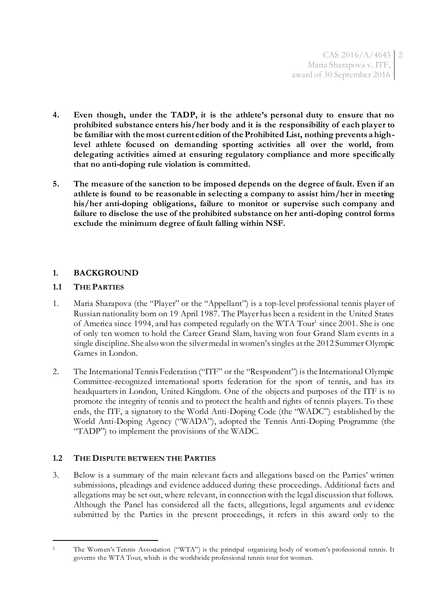- **4. Even though, under the TADP, it is the athlete's personal duty to ensure that no prohibited substance enters his/her body and it is the responsibility of each player to be familiar with the most current edition of the Prohibited List, nothing prevents a highlevel athlete focused on demanding sporting activities all over the world, from delegating activities aimed at ensuring regulatory compliance and more specifically that no anti-doping rule violation is committed.**
- **5. The measure of the sanction to be imposed depends on the degree of fault. Even if an athlete is found to be reasonable in selecting a company to assist him/her in meeting his/her anti-doping obligations, failure to monitor or supervise such company and failure to disclose the use of the prohibited substance on her anti-doping control forms exclude the minimum degree of fault falling within NSF.**

### **1. BACKGROUND**

### **1.1 THE PARTIES**

 $\overline{a}$ 

- 1. Maria Sharapova (the "Player" or the "Appellant") is a top-level professional tennis player of Russian nationality born on 19 April 1987. The Player has been a resident in the United States of America since 1994, and has competed regularly on the WTA Tour<sup>1</sup> since 2001. She is one of only ten women to hold the Career Grand Slam, having won four Grand Slam events in a single discipline. She also won the [silver](https://en.wikipedia.org/wiki/Olympic_silver_medal)medal in women's singles at the 2012 Summer Olympic Games in London.
- 2. The International Tennis Federation ("ITF" or the "Respondent") is the International Olympic Committee-recognized international sports federation for the sport of tennis, and has its headquarters in London, United Kingdom. One of the objects and purposes of the ITF is to promote the integrity of tennis and to protect the health and rights of tennis players. To these ends, the ITF, a signatory to the World Anti-Doping Code (the "WADC") established by the World Anti-Doping Agency ("WADA"), adopted the Tennis Anti-Doping Programme (the "TADP") to implement the provisions of the WADC.

# **1.2 THE DISPUTE BETWEEN THE PARTIES**

3. Below is a summary of the main relevant facts and allegations based on the Parties' written submissions, pleadings and evidence adduced during these proceedings. Additional facts and allegations may be set out, where relevant, in connection with the legal discussion that follows. Although the Panel has considered all the facts, allegations, legal arguments and ev idence submitted by the Parties in the present proceedings, it refers in this award only to the

<sup>1</sup> The Women's Tennis Association ("WTA") is the principal organizing body of women's professional tennis. It governs the WTA Tour, which is the worldwide professional tennis tour for women.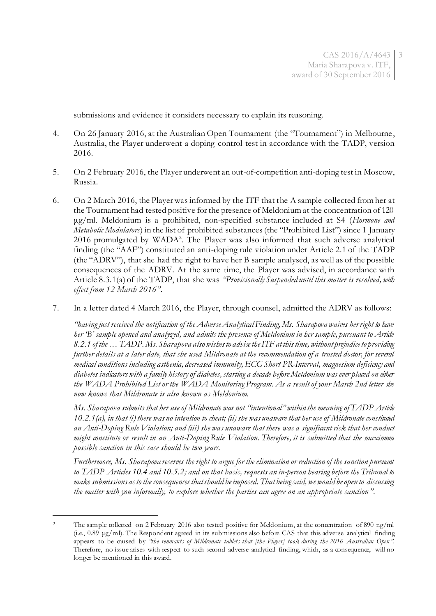submissions and evidence it considers necessary to explain its reasoning.

- 4. On 26 January 2016, at the Australian Open Tournament (the "Tournament") in Melbourne, Australia, the Player underwent a doping control test in accordance with the TADP, version 2016.
- 5. On 2 February 2016, the Player underwent an out-of-competition anti-doping test in Moscow, Russia.
- 6. On 2 March 2016, the Player was informed by the ITF that the A sample collected from her at the Tournament had tested positive for the presence of Meldonium at the concentration of 120 μg/ml. Meldonium is a prohibited, non-specified substance included at S4 (*Hormone and Metabolic Modulators*) in the list of prohibited substances (the "Prohibited List") since 1 January 2016 promulgated by WADA<sup>2</sup> . The Player was also informed that such adverse analytical finding (the "AAF") constituted an anti-doping rule violation under Article 2.1 of the TADP (the "ADRV"), that she had the right to have her B sample analysed, as well as of the possible consequences of the ADRV. At the same time, the Player was advised, in accordance with Article 8.3.1(a) of the TADP, that she was *"Provisionally Suspended until this matter is resolved, with effect from 12 March 2016"*.
- 7. In a letter dated 4 March 2016, the Player, through counsel, admitted the ADRV as follows:

*"having just received the notification of the Adverse Analytical Finding, Ms. Sharapova waives her right to have her 'B' sample opened and analyzed, and admits the presence of Meldonium in her sample, pursuant to Article 8.2.1 of the … TADP. Ms. Sharapova also wishes to advise the ITF at this time, without prejudice to providing further details at a later date, that she used Mildronate at the recommendation of a trusted doctor, for several medical conditions including asthenia, decreased immunity, ECG Short PR-Interval, magnesium deficiency and diabetes indicators with a family history of diabetes, starting a decade before Meldonium was ever placed on either the WADA Prohibited List or the WADA Monitoring Program. As a result of your March 2nd letter she now knows that Mildronate is also known as Meldonium.*

*Ms. Sharapova submits that her use of Mildronate was not "intentional" within the meaning of TADP Article 10.2.1(a), in that (i) there was no intention to cheat; (ii) she was unaware that her use of Mildronate constituted an Anti-Doping Rule Violation; and (iii) she was unaware that there was a significant risk that her conduct might constitute or result in an Anti-Doping Rule Violation. Therefore, it is submitted that the maximum possible sanction in this case should be two years.* 

*Furthermore, Ms. Sharapova reserves the right to argue for the elimination or reduction of the sanction pursuant to TADP Articles 10.4 and 10.5.2; and on that basis, requests an in-person hearing before the Tribunal to make submissions as to the consequences that should be imposed. That being said, we would be open to discussing the matter with you informally, to explore whether the parties can agree on an appropriate sanction"*.

 $\overline{a}$ 

<sup>&</sup>lt;sup>2</sup> The sample collected on 2 February 2016 also tested positive for Meldonium, at the concentration of 890 ng/ml (i.e., 0.89 μg/ml). The Respondent agreed in its submissions also before CAS that this adverse analytical finding appears to be caused by *"the remnants of Mildronate tablets that [the Player] took during the 2016 Australian Open "*. Therefore, no issue arises with respect to such second adverse analytical finding, which, as a consequence, will no longer be mentioned in this award.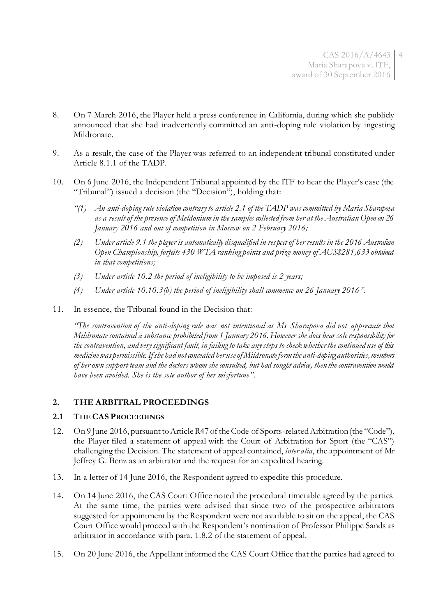- 8. On 7 March 2016, the Player held a press conference in California, during which she publicly announced that she had inadvertently committed an anti-doping rule violation by ingesting Mildronate.
- 9. As a result, the case of the Player was referred to an independent tribunal constituted under Article 8.1.1 of the TADP.
- 10. On 6 June 2016, the Independent Tribunal appointed by the ITF to hear the Player's case (the "Tribunal") issued a decision (the "Decision"), holding that:
	- *"(1) An anti-doping rule violation contrary to article 2.1 of the TADP was committed by Maria Sharapova as a result of the presence of Meldonium in the samples collected from her at the Australian Open on 26 January 2016 and out of competition in Moscow on 2 February 2016;*
	- *(2) Under article 9.1 the player is automatically disqualified in respect of her results in the 2016 Australian Open Championship, forfeits 430 WTA ranking points and prize money of AUS\$281,633 obtained in that competitions;*
	- *(3) Under article 10.2 the period of ineligibility to be imposed is 2 years;*
	- *(4) Under article 10.10.3(b) the period of ineligibility shall commence on 26 January 2016"*.
- 11. In essence, the Tribunal found in the Decision that:

*"The contravention of the anti-doping rule was not intentional as Ms Sharapova did not appreciate that Mildronate contained a substance prohibited from 1 January 2016. However she does bear sole responsibility for the contravention, and very significant fault, in failing to take any steps to check whether the continued use of this medicine was permissible. If she had not concealed her use of Mildronate form the anti-doping authorities, members of her own support team and the doctors whom she consulted, but had sought advice, then the contravention would have been avoided. She is the sole author of her misfortune"*.

# **2. THE ARBITRAL PROCEEDINGS**

#### **2.1 THE CAS PROCEEDINGS**

- 12. On 9 June 2016, pursuant to Article R47 of the Code of Sports-related Arbitration (the "Code"), the Player filed a statement of appeal with the Court of Arbitration for Sport (the "CAS") challenging the Decision. The statement of appeal contained, *inter alia*, the appointment of Mr Jeffrey G. Benz as an arbitrator and the request for an expedited hearing.
- 13. In a letter of 14 June 2016, the Respondent agreed to expedite this procedure.
- 14. On 14 June 2016, the CAS Court Office noted the procedural timetable agreed by the parties. At the same time, the parties were advised that since two of the prospective arbitrators suggested for appointment by the Respondent were not available to sit on the appeal, the CAS Court Office would proceed with the Respondent's nomination of Professor Philippe Sands as arbitrator in accordance with para. 1.8.2 of the statement of appeal.
- 15. On 20 June 2016, the Appellant informed the CAS Court Office that the parties had agreed to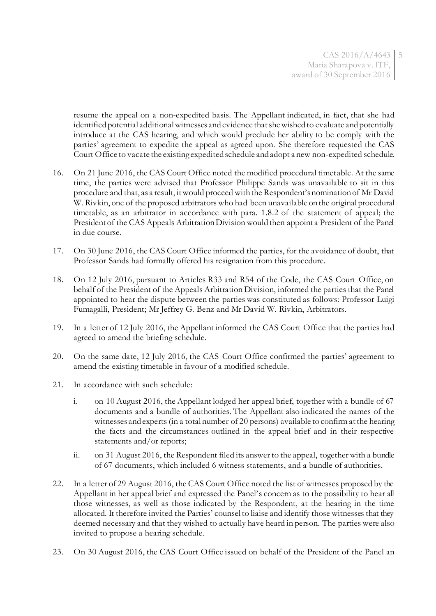resume the appeal on a non-expedited basis. The Appellant indicated, in fact, that she had identified potential additional witnesses and evidence that she wished to evaluate and potentially introduce at the CAS hearing, and which would preclude her ability to be comply with the parties' agreement to expedite the appeal as agreed upon. She therefore requested the CAS Court Office to vacate the existing expedited schedule and adopt a new non-expedited schedule.

- 16. On 21 June 2016, the CAS Court Office noted the modified procedural timetable. At the same time, the parties were advised that Professor Philippe Sands was unavailable to sit in this procedure and that, as a result, it would proceed with the Respondent's nomination of Mr David W. Rivkin, one of the proposed arbitrators who had been unavailable on the original procedural timetable, as an arbitrator in accordance with para. 1.8.2 of the statement of appeal; the President of the CAS Appeals Arbitration Division would then appoint a President of the Panel in due course.
- 17. On 30 June 2016, the CAS Court Office informed the parties, for the avoidance of doubt, that Professor Sands had formally offered his resignation from this procedure.
- 18. On 12 July 2016, pursuant to Articles R33 and R54 of the Code, the CAS Court Office, on behalf of the President of the Appeals Arbitration Division, informed the parties that the Panel appointed to hear the dispute between the parties was constituted as follows: Professor Luigi Fumagalli, President; Mr Jeffrey G. Benz and Mr David W. Rivkin, Arbitrators.
- 19. In a letter of 12 July 2016, the Appellant informed the CAS Court Office that the parties had agreed to amend the briefing schedule.
- 20. On the same date, 12 July 2016, the CAS Court Office confirmed the parties' agreement to amend the existing timetable in favour of a modified schedule.
- 21. In accordance with such schedule:
	- i. on 10 August 2016, the Appellant lodged her appeal brief, together with a bundle of 67 documents and a bundle of authorities. The Appellant also indicated the names of the witnesses and experts (in a total number of 20 persons) available to confirm at the hearing the facts and the circumstances outlined in the appeal brief and in their respective statements and/or reports;
	- ii. on 31 August 2016, the Respondent filed its answer to the appeal, together with a bundle of 67 documents, which included 6 witness statements, and a bundle of authorities.
- 22. In a letter of 29 August 2016, the CAS Court Office noted the list of witnesses proposed by the Appellant in her appeal brief and expressed the Panel's concern as to the possibility to hear all those witnesses, as well as those indicated by the Respondent, at the hearing in the time allocated. It therefore invited the Parties' counsel to liaise and identify those witnesses that they deemed necessary and that they wished to actually have heard in person. The parties were also invited to propose a hearing schedule.
- 23. On 30 August 2016, the CAS Court Office issued on behalf of the President of the Panel an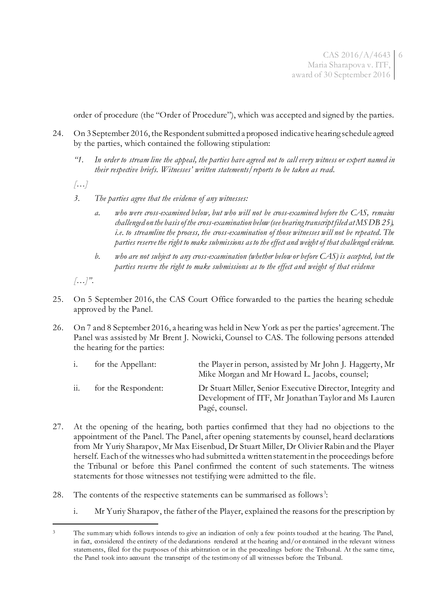order of procedure (the "Order of Procedure"), which was accepted and signed by the parties.

- 24. On 3 September 2016, the Respondent submitted a proposed indicative hearing schedule agreed by the parties, which contained the following stipulation:
	- *"1. In order to stream line the appeal, the parties have agreed not to call every witness or expert named in their respective briefs. Witnesses' written statements/reports to be taken as read.*

*[…]*

- *3. The parties agree that the evidence of any witnesses:*
	- *a. who were cross-examined below, but who will not be cross-examined before the CAS, remains challenged on the basis of the cross-examination below (see hearing transcript filed at MS DB 25), i.e. to streamline the process, the cross-examination of those witnesses will not be repeated. The parties reserve the right to make submissions as to the effect and weight of that challenged evidence.*
	- *b. who are not subject to any cross-examination (whether below or before CAS) is accepted, but the parties reserve the right to make submissions as to the effect and weight of that evidence*
- *[…]"*.

 $\overline{a}$ 

- 25. On 5 September 2016, the CAS Court Office forwarded to the parties the hearing schedule approved by the Panel.
- 26. On 7 and 8 September 2016, a hearing was held in New York as per the parties' agreement. The Panel was assisted by Mr Brent J. Nowicki, Counsel to CAS. The following persons attended the hearing for the parties:

|     | for the Appellant:  | the Player in person, assisted by Mr John J. Haggerty, Mr<br>Mike Morgan and Mr Howard L. Jacobs, counsel;                           |
|-----|---------------------|--------------------------------------------------------------------------------------------------------------------------------------|
| 11. | for the Respondent: | Dr Stuart Miller, Senior Executive Director, Integrity and<br>Development of ITF, Mr Jonathan Taylor and Ms Lauren<br>Pagé, counsel. |

- 27. At the opening of the hearing, both parties confirmed that they had no objections to the appointment of the Panel. The Panel, after opening statements by counsel, heard declarations from Mr Yuriy Sharapov, Mr Max Eisenbud, Dr Stuart Miller, Dr Olivier Rabin and the Player herself. Each of the witnesses who had submitted a written statement in the proceedings before the Tribunal or before this Panel confirmed the content of such statements. The witness statements for those witnesses not testifying were admitted to the file.
- 28. The contents of the respective statements can be summarised as follows<sup>3</sup>:
	- i. Mr Yuriy Sharapov, the father of the Player, explained the reasons for the prescription by

<sup>&</sup>lt;sup>3</sup> The summary which follows intends to give an indication of only a few points touched at the hearing. The Panel, in fact, considered the entirety of the declarations rendered at the hearing and/or contained in the relevant witness statements, filed for the purposes of this arbitration or in the proceedings before the Tribunal. At the same time, the Panel took into account the transcript of the testimony of all witnesses before the Tribunal.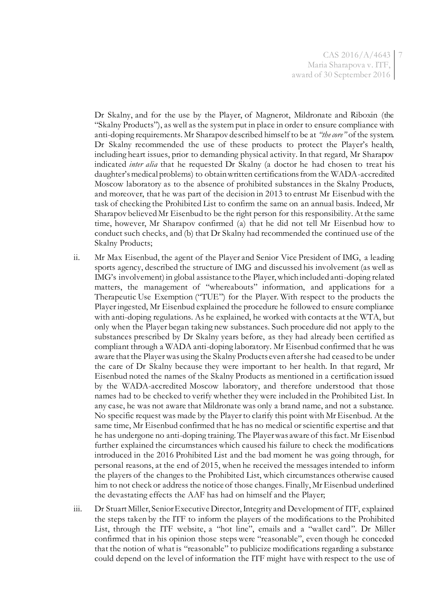Dr Skalny, and for the use by the Player, of Magnerot, Mildronate and Riboxin (the "Skalny Products"), as well as the system put in place in order to ensure compliance with anti-doping requirements. Mr Sharapov described himself to be at *"the core"* of the system. Dr Skalny recommended the use of these products to protect the Player's health, including heart issues, prior to demanding physical activity. In that regard, Mr Sharapov indicated *inter alia* that he requested Dr Skalny (a doctor he had chosen to treat his daughter's medical problems) to obtain written certifications from the WADA-accredited Moscow laboratory as to the absence of prohibited substances in the Skalny Products, and moreover, that he was part of the decision in 2013 to entrust Mr Eisenbud with the task of checking the Prohibited List to confirm the same on an annual basis. Indeed, Mr Sharapov believed Mr Eisenbud to be the right person for this responsibility. At the same time, however, Mr Sharapov confirmed (a) that he did not tell Mr Eisenbud how to conduct such checks, and (b) that Dr Skalny had recommended the continued use of the Skalny Products;

- ii. Mr Max Eisenbud, the agent of the Player and Senior Vice President of IMG, a leading sports agency, described the structure of IMG and discussed his involvement (as well as IMG's involvement) in global assistance to the Player, which included anti-doping related matters, the management of "whereabouts" information, and applications for a Therapeutic Use Exemption ("TUE") for the Player. With respect to the products the Player ingested, Mr Eisenbud explained the procedure he followed to ensure compliance with anti-doping regulations. As he explained, he worked with contacts at the WTA, but only when the Player began taking new substances. Such procedure did not apply to the substances prescribed by Dr Skalny years before, as they had already been certified as compliant through a WADA anti-doping laboratory. Mr Eisenbud confirmed that he was aware that the Player was using the Skalny Products even after she had ceased to be under the care of Dr Skalny because they were important to her health. In that regard, Mr Eisenbud noted the names of the Skalny Products as mentioned in a certification issued by the WADA-accredited Moscow laboratory, and therefore understood that those names had to be checked to verify whether they were included in the Prohibited List. In any case, he was not aware that Mildronate was only a brand name, and not a substance. No specific request was made by the Player to clarify this point with Mr Eisenbud. At the same time, Mr Eisenbud confirmed that he has no medical or scientific expertise and that he has undergone no anti-doping training. The Player was aware of this fact. Mr Eisenbud further explained the circumstances which caused his failure to check the modifications introduced in the 2016 Prohibited List and the bad moment he was going through, for personal reasons, at the end of 2015, when he received the messages intended to inform the players of the changes to the Prohibited List, which circumstances otherwise caused him to not check or address the notice of those changes. Finally, Mr Eisenbud underlined the devastating effects the AAF has had on himself and the Player;
- iii. Dr Stuart Miller, Senior Executive Director, Integrity and Development of ITF, explained the steps taken by the ITF to inform the players of the modifications to the Prohibited List, through the ITF website, a "hot line", emails and a "wallet card". Dr Miller confirmed that in his opinion those steps were "reasonable", even though he conceded that the notion of what is "reasonable" to publicize modifications regarding a substance could depend on the level of information the ITF might have with respect to the use of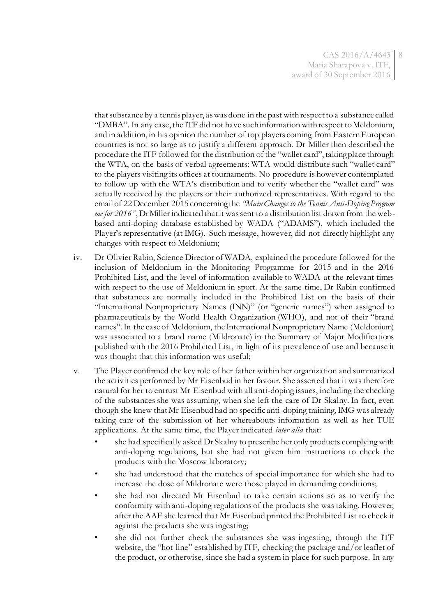that substance by a tennis player, as was done in the past with respect to a substance called "DMBA". In any case, the ITF did not have such information with respect to Meldonium, and in addition, in his opinion the number of top players coming from Eastern European countries is not so large as to justify a different approach. Dr Miller then described the procedure the ITF followed for the distribution of the "wallet card", taking place through the WTA, on the basis of verbal agreements: WTA would distribute such "wallet card" to the players visiting its offices at tournaments. No procedure is however contemplated to follow up with the WTA's distribution and to verify whether the "wallet card" was actually received by the players or their authorized representatives. With regard to the email of 22 December 2015 concerning the *"Main Changes to the Tennis Anti-Doping Program me for 2016"*, Dr Miller indicated that it was sent to a distribution list drawn from the webbased anti-doping database established by WADA ("ADAMS"), which included the Player's representative (at IMG). Such message, however, did not directly highlight any changes with respect to Meldonium;

- iv. Dr Olivier Rabin, Science Director of WADA, explained the procedure followed for the inclusion of Meldonium in the Monitoring Programme for 2015 and in the 2016 Prohibited List, and the level of information available to WADA at the relevant times with respect to the use of Meldonium in sport. At the same time, Dr Rabin confirmed that substances are normally included in the Prohibited List on the basis of their "International Nonproprietary Names (INN)" (or "generic names") when assigned to pharmaceuticals by the World Health Organization (WHO), and not of their "brand names".In the case of Meldonium, the International Nonproprietary Name (Meldonium) was associated to a brand name (Mildronate) in the Summary of Major Modifications published with the 2016 Prohibited List, in light of its prevalence of use and because it was thought that this information was useful;
- v. The Player confirmed the key role of her father within her organization and summarized the activities performed by Mr Eisenbud in her favour. She asserted that it was therefore natural for her to entrust Mr Eisenbud with all anti-doping issues, including the checking of the substances she was assuming, when she left the care of Dr Skalny. In fact, even though she knew that Mr Eisenbud had no specific anti-doping training, IMG was already taking care of the submission of her whereabouts information as well as her TUE applications. At the same time, the Player indicated *inter alia* that:
	- she had specifically asked Dr Skalny to prescribe her only products complying with anti-doping regulations, but she had not given him instructions to check the products with the Moscow laboratory;
	- she had understood that the matches of special importance for which she had to increase the dose of Mildronate were those played in demanding conditions;
	- she had not directed Mr Eisenbud to take certain actions so as to verify the conformity with anti-doping regulations of the products she was taking. However, after the AAF she learned that Mr Eisenbud printed the Prohibited List to check it against the products she was ingesting;
	- she did not further check the substances she was ingesting, through the ITF website, the "hot line" established by ITF, checking the package and/or leaflet of the product, or otherwise, since she had a system in place for such purpose. In any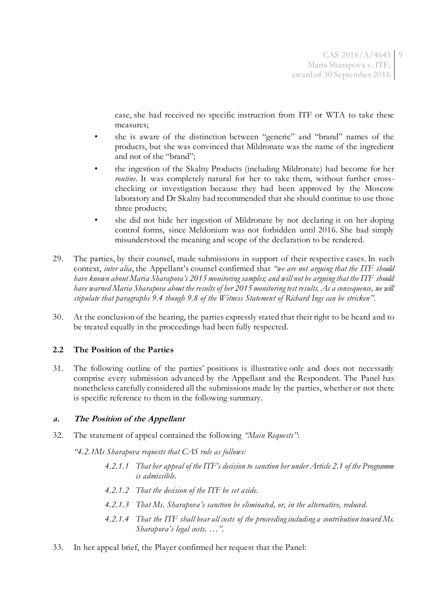case, she had received no specific instruction from ITF or WTA to take these measures;

- she is aware of the distinction between "generic" and "brand" names of the products, but she was convinced that Mildronate was the name of the ingredient and not of the "brand";
- the ingestion of the Skalny Products (including Mildronate) had become for her *routine*. It was completely natural for her to take them, without further crosschecking or investigation because they had been approved by the Moscow laboratory and Dr Skalny had recommended that she should continue to use those three products;
- she did not hide her ingestion of Mildronate by not declaring it on her doping control forms, since Meldonium was not forbidden until 2016. She had simply misunderstood the meaning and scope of the declaration to be rendered.
- 29. The parties, by their counsel, made submissions in support of their respective cases. In such context, *inter alia*, the Appellant's counsel confirmed that *"we are not arguing that the ITF should have known about Maria Sharapova's 2015 monitoring samples; and will not be arguing that the ITF should have warned Maria Sharapova about the results of her 2015 monitoring test results. As a consequence, we will stipulate that paragraphs 9.4 though 9.8 of the Witness Statement of Richard Ings can be stricken"*.
- 30. At the conclusion of the hearing, the parties expressly stated that their right to be heard and to be treated equally in the proceedings had been fully respected.

# **2.2 The Position of the Parties**

31. The following outline of the parties' positions is illustrative only and does not necessarily comprise every submission advanced by the Appellant and the Respondent. The Panel has nonetheless carefully considered all the submissions made by the parties, whether or not there is specific reference to them in the following summary.

#### **a. The Position of the Appellant**

32. The statement of appeal contained the following *"Main Requests"*:

*"4.2.1Ms Sharapova requests that CAS rule as follows:*

- *4.2.1.1 That her appeal of the ITF's decision to sanction her under Article 2.1 of the Programme is admissible.*
- *4.2.1.2 That the decision of the ITF be set aside.*
- *4.2.1.3 That Ms. Sharapova's sanction be eliminated, or, in the alternative, reduced.*
- *4.2.1.4 That the ITF shall bear all costs of the proceeding including a contribution toward Ms. Sharapova's legal costs. …".*
- 33. In her appeal brief, the Player confirmed her request that the Panel: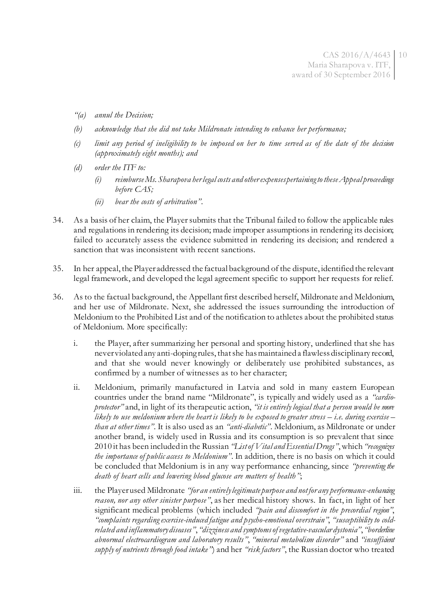- *"(a) annul the Decision;*
- *(b) acknowledge that she did not take Mildronate intending to enhance her performance;*
- *(c) limit any period of ineligibility to be imposed on her to time served as of the date of the decision (approximately eight months); and*
- *(d) order the ITF to:* 
	- *(i) reimburse Ms. Sharapova her legal costs and other expenses pertaining to these Appeal proceedings before CAS;*
	- *(ii) bear the costs of arbitration"*.
- 34. As a basis of her claim, the Player submits that the Tribunal failed to follow the applicable rules and regulations in rendering its decision; made improper assumptions in rendering its decision; failed to accurately assess the evidence submitted in rendering its decision; and rendered a sanction that was inconsistent with recent sanctions.
- 35. In her appeal, the Player addressed the factual background of the dispute, identified the relevant legal framework, and developed the legal agreement specific to support her requests for relief.
- 36. As to the factual background, the Appellant first described herself, Mildronate and Meldonium, and her use of Mildronate. Next, she addressed the issues surrounding the introduction of Meldonium to the Prohibited List and of the notification to athletes about the prohibited status of Meldonium. More specifically:
	- i. the Player, after summarizing her personal and sporting history, underlined that she has never violated any anti-doping rules, that she has maintained a flawless disciplinary record, and that she would never knowingly or deliberately use prohibited substances, as confirmed by a number of witnesses as to her character;
	- ii. Meldonium, primarily manufactured in Latvia and sold in many eastern European countries under the brand name "Mildronate", is typically and widely used as a *"cardioprotector"* and, in light of its therapeutic action, *"it is entirely logical that a person would be more likely to use meldonium where the heart is likely to be exposed to greater stress – i.e. during exercise* – *than at other times"*. It is also used as an *"anti-diabetic"*. Meldonium, as Mildronate or under another brand, is widely used in Russia and its consumption is so prevalent that since 2010 it has been included in the Russian *"List of Vital and Essential Drugs"*, which *"recognizes the importance of public access to Meldonium"*. In addition, there is no basis on which it could be concluded that Meldonium is in any way performance enhancing, since *"preventing the death of heart cells and lowering blood glucose are matters of health"*;
	- iii. the Player used Mildronate *"for an entirely legitimate purpose and not for any performance-enhancing reason, nor any other sinister purpose"*, as her medical history shows. In fact, in light of her significant medical problems (which included *"pain and discomfort in the precordial region"*, *"complaints regarding exercise-induced fatigue and psycho-emotional overstrain"*, *"susceptibility to coldrelated and inflammatory diseases"*, *"dizziness and symptoms of vegetative-vascular dystonia"*, *"borderline abnormal electrocardiogram and laboratory results"*, *"mineral metabolism disorder"* and *"insufficient supply of nutrients through food intake"*) and her *"risk factors"*, the Russian doctor who treated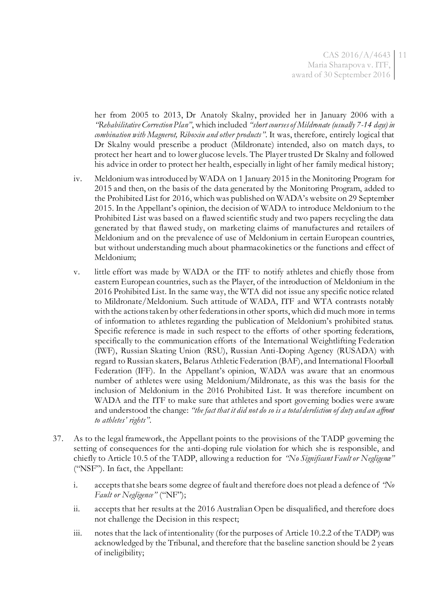her from 2005 to 2013, Dr Anatoly Skalny, provided her in January 2006 with a *"Rehabilitative Correction Plan"*, which included *"short courses of Mildronate (usually 7-14 days) in combination with Magnerot, Riboxin and other products"*. It was, therefore, entirely logical that Dr Skalny would prescribe a product (Mildronate) intended, also on match days, to protect her heart and to lower glucose levels. The Player trusted Dr Skalny and followed his advice in order to protect her health, especially in light of her family medical history;

- iv. Meldonium was introduced by WADA on 1 January 2015 in the Monitoring Program for 2015 and then, on the basis of the data generated by the Monitoring Program, added to the Prohibited List for 2016, which was published on WADA's website on 29 September 2015. In the Appellant's opinion, the decision of WADA to introduce Meldonium to the Prohibited List was based on a flawed scientific study and two papers recycling the data generated by that flawed study, on marketing claims of manufactures and retailers of Meldonium and on the prevalence of use of Meldonium in certain European countries, but without understanding much about pharmacokinetics or the functions and effect of Meldonium;
- v. little effort was made by WADA or the ITF to notify athletes and chiefly those from eastern European countries, such as the Player, of the introduction of Meldonium in the 2016 Prohibited List. In the same way, the WTA did not issue any specific notice related to Mildronate/Meldonium. Such attitude of WADA, ITF and WTA contrasts notably with the actions taken by other federations in other sports, which did much more in terms of information to athletes regarding the publication of Meldonium's prohibited status. Specific reference is made in such respect to the efforts of other sporting federations, specifically to the communication efforts of the International Weightlifting Federation (IWF), Russian Skating Union (RSU), Russian Anti-Doping Agency (RUSADA) with regard to Russian skaters, Belarus Athletic Federation (BAF), and International Floorball Federation (IFF). In the Appellant's opinion, WADA was aware that an enormous number of athletes were using Meldonium/Mildronate, as this was the basis for the inclusion of Meldonium in the 2016 Prohibited List. It was therefore incumbent on WADA and the ITF to make sure that athletes and sport governing bodies were aware and understood the change: *"the fact that it did not do so is a total dereliction of duty and an affront to athletes' rights"*.
- 37. As to the legal framework, the Appellant points to the provisions of the TADP governing the setting of consequences for the anti-doping rule violation for which she is responsible, and chiefly to Article 10.5 of the TADP, allowing a reduction for *"No Significant Fault or Negligence"* ("NSF"). In fact, the Appellant:
	- i. accepts that she bears some degree of fault and therefore does not plead a defence of *"No Fault or Negligence"* ("NF");
	- ii. accepts that her results at the 2016 Australian Open be disqualified, and therefore does not challenge the Decision in this respect;
	- iii. notes that the lack of intentionality (for the purposes of Article 10.2.2 of the TADP) was acknowledged by the Tribunal, and therefore that the baseline sanction should be 2 years of ineligibility;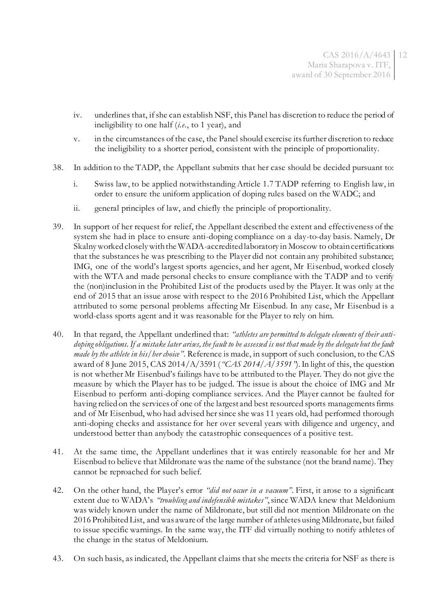CAS 2016/A/4643 12 Maria Sharapova v. ITF, award of 30 September 2016

- iv. underlines that, if she can establish NSF, this Panel has discretion to reduce the period of ineligibility to one half (*i.e*., to 1 year), and
- v. in the circumstances of the case, the Panel should exercise its further discretion to reduce the ineligibility to a shorter period, consistent with the principle of proportionality.
- 38. In addition to the TADP, the Appellant submits that her case should be decided pursuant to:
	- i. Swiss law, to be applied notwithstanding Article 1.7 TADP referring to English law, in order to ensure the uniform application of doping rules based on the WADC; and
	- ii. general principles of law, and chiefly the principle of proportionality.
- 39. In support of her request for relief, the Appellant described the extent and effectiveness of the system she had in place to ensure anti-doping compliance on a day-to-day basis. Namely, Dr Skalny worked closely with the WADA-accredited laboratory in Moscow to obtain certifications that the substances he was prescribing to the Player did not contain any prohibited substance; IMG, one of the world's largest sports agencies, and her agent, Mr Eisenbud, worked closely with the WTA and made personal checks to ensure compliance with the TADP and to verify the (non)inclusion in the Prohibited List of the products used by the Player. It was only at the end of 2015 that an issue arose with respect to the 2016 Prohibited List, which the Appellant attributed to some personal problems affecting Mr Eisenbud. In any case, Mr Eisenbud is a world-class sports agent and it was reasonable for the Player to rely on him.
- 40. In that regard, the Appellant underlined that: *"athletes are permitted to delegate elements of their anti*doping obligations. If a mistake later arises, the fault to be assessed is not that made by the delegate but the fault *made by the athlete in his/her choice"*. Reference is made, in support of such conclusion, to the CAS award of 8 June 2015, CAS 2014/A/3591 (*"CAS 2014/A/3591"*). In light of this, the question is not whether Mr Eisenbud's failings have to be attributed to the Player. They do not give the measure by which the Player has to be judged. The issue is about the choice of IMG and Mr Eisenbud to perform anti-doping compliance services. And the Player cannot be faulted for having relied on the services of one of the largest and best resourced sports managements firms and of Mr Eisenbud, who had advised her since she was 11 years old, had performed thorough anti-doping checks and assistance for her over several years with diligence and urgency, and understood better than anybody the catastrophic consequences of a positive test.
- 41. At the same time, the Appellant underlines that it was entirely reasonable for her and Mr Eisenbud to believe that Mildronate was the name of the substance (not the brand name). They cannot be reproached for such belief.
- 42. On the other hand, the Player's error *"did not occur in a vacuum"*. First, it arose to a significant extent due to WADA's *"troubling and indefensible mistakes"*, since WADA knew that Meldonium was widely known under the name of Mildronate, but still did not mention Mildronate on the 2016 Prohibited List, and was aware of the large number of athletes using Mildronate, but failed to issue specific warnings. In the same way, the ITF did virtually nothing to notify athletes of the change in the status of Meldonium.
- 43. On such basis, as indicated, the Appellant claims that she meets the criteria for NSF as there is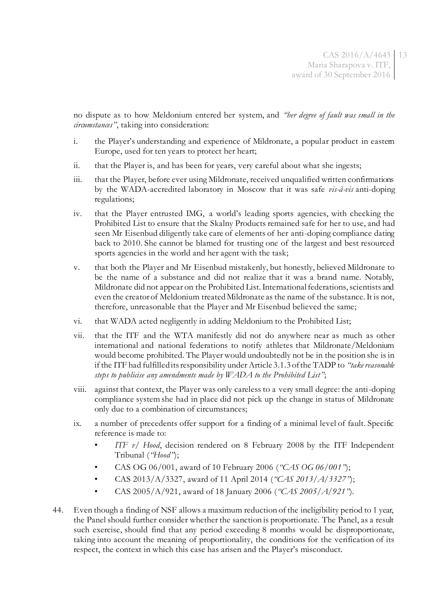no dispute as to how Meldonium entered her system, and *"her degree of fault was small in the circumstances"*, taking into consideration:

- i. the Player's understanding and experience of Mildronate, a popular product in eastem Europe, used for ten years to protect her heart;
- ii. that the Player is, and has been for years, very careful about what she ingests;
- iii. that the Player, before ever using Mildronate, received unqualified written confirmations by the WADA-accredited laboratory in Moscow that it was safe *vis-à-vis* anti-doping regulations;
- iv. that the Player entrusted IMG, a world's leading sports agencies, with checking the Prohibited List to ensure that the Skalny Products remained safe for her to use, and had seen Mr Eisenbud diligently take care of elements of her anti-doping compliance dating back to 2010. She cannot be blamed for trusting one of the largest and best resourced sports agencies in the world and her agent with the task;
- v. that both the Player and Mr Eisenbud mistakenly, but honestly, believed Mildronate to be the name of a substance and did not realize that it was a brand name. Notably, Mildronate did not appear on the Prohibited List. International federations, scientists and even the creator of Meldonium treated Mildronate as the name of the substance. It is not, therefore, unreasonable that the Player and Mr Eisenbud believed the same;
- vi. that WADA acted negligently in adding Meldonium to the Prohibited List;
- vii. that the ITF and the WTA manifestly did not do anywhere near as much as other international and national federations to notify athletes that Mildronate/Meldonium would become prohibited. The Player would undoubtedly not be in the position she is in if the ITF had fulfilled its responsibility under Article 3.1.3 of the TADP to *"take reasonable steps to publicise any amendments made by WADA to the Prohibited List"*;
- viii. against that context, the Player was only careless to a very small degree: the anti-doping compliance system she had in place did not pick up the change in status of Mildronate only due to a combination of circumstances;
- ix. a number of precedents offer support for a finding of a minimal level of fault. Specific reference is made to:
	- *ITF v/ Hood*, decision rendered on 8 February 2008 by the ITF Independent Tribunal (*"Hood"*);
	- CAS OG 06/001, award of 10 February 2006 (*"CAS OG 06/001"*);
	- CAS 2013/A/3327, award of 11 April 2014 (*"CAS 2013/A/3327"*);
	- CAS 2005/A/921, award of 18 January 2006 (*"CAS 2005/A/921"*)*.*
- 44. Even though a finding of NSF allows a maximum reduction of the ineligibility period to 1 year, the Panel should further consider whether the sanction is proportionate. The Panel, as a result such exercise, should find that any period exceeding 8 months would be disproportionate, taking into account the meaning of proportionality, the conditions for the verification of its respect, the context in which this case has arisen and the Player's misconduct.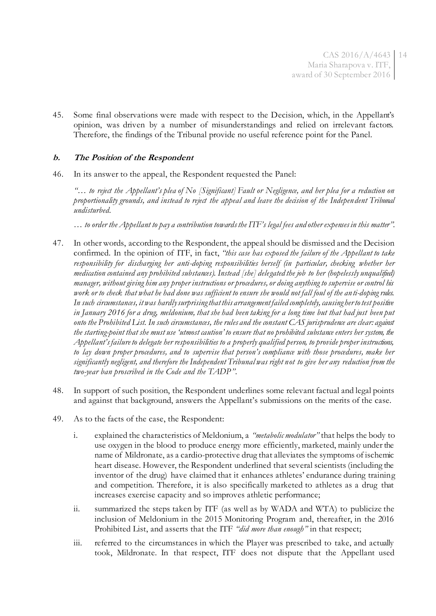CAS 2016/A/4643 14 Maria Sharapova v. ITF, award of 30 September 2016

45. Some final observations were made with respect to the Decision, which, in the Appellant's opinion, was driven by a number of misunderstandings and relied on irrelevant factors. Therefore, the findings of the Tribunal provide no useful reference point for the Panel.

### **b. The Position of the Respondent**

46. In its answer to the appeal, the Respondent requested the Panel:

*"… to reject the Appellant's plea of No [Significant] Fault or Negligence, and her plea for a reduction on proportionality grounds, and instead to reject the appeal and leave the decision of the Independent Tribunal undisturbed.* 

*… to order the Appellant to pay a contribution towards the ITF's legal fees and other expenses in this matter"*.

- 47. In other words, according to the Respondent, the appeal should be dismissed and the Decision confirmed. In the opinion of ITF, in fact, *"this case has exposed the failure of the Appellant to take responsibility for discharging her anti-doping responsibilities herself (in particular, checking whether her medication contained any prohibited substances). Instead [she] delegated the job to her (hopelessly unqualified) manager, without giving him any proper instructions or procedures, or doing anything to supervise or control his work or to check that what he had done was sufficient to ensure she would not fall foul of the an ti-doping rules. In such circumstances, it was hardly surprising that this arrangement failed completely, causing her to test positive in January 2016 for a drug, meldonium, that she had been taking for a long time but that had just been put onto the Prohibited List. In such circumstances, the rules and the constant CAS jurisprudence are clear: against the starting-point that she must use 'utmost caution' to ensure that no prohibited substance enters her system, the Appellant's failure to delegate her responsibilities to a properly qualified person, to provide proper instructions, to lay down proper procedures, and to supervise that person's compliance with those procedures, make her significantly negligent, and therefore the Independent Tribunal was right not to give her any reduction from the two-year ban proscribed in the Code and the TADP"*.
- 48. In support of such position, the Respondent underlines some relevant factual and legal points and against that background, answers the Appellant's submissions on the merits of the case.
- 49. As to the facts of the case, the Respondent:
	- i. explained the characteristics of Meldonium, a *"metabolic modulator"* that helps the body to use oxygen in the blood to produce energy more efficiently, marketed, mainly under the name of Mildronate, as a cardio-protective drug that alleviates the symptoms of ischemic heart disease. However, the Respondent underlined that several scientists (including the inventor of the drug) have claimed that it enhances athletes' endurance during training and competition. Therefore, it is also specifically marketed to athletes as a drug that increases exercise capacity and so improves athletic performance;
	- ii. summarized the steps taken by ITF (as well as by WADA and WTA) to publicize the inclusion of Meldonium in the 2015 Monitoring Program and, thereafter, in the 2016 Prohibited List, and asserts that the ITF *"did more than enough"* in that respect;
	- iii. referred to the circumstances in which the Player was prescribed to take, and actually took, Mildronate. In that respect, ITF does not dispute that the Appellant used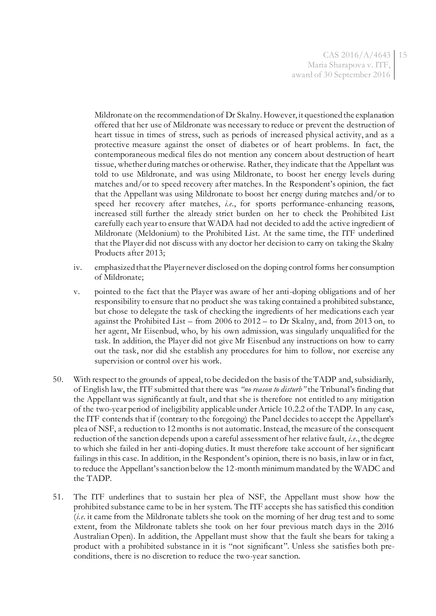Mildronate on the recommendation of Dr Skalny. However, it questioned the explanation offered that her use of Mildronate was necessary to reduce or prevent the destruction of heart tissue in times of stress, such as periods of increased physical activity, and as a protective measure against the onset of diabetes or of heart problems. In fact, the contemporaneous medical files do not mention any concern about destruction of heart tissue, whether during matches or otherwise. Rather, they indicate that the Appellant was told to use Mildronate, and was using Mildronate, to boost her energy levels during matches and/or to speed recovery after matches. In the Respondent's opinion, the fact that the Appellant was using Mildronate to boost her energy during matches and/or to speed her recovery after matches, *i.e*., for sports performance-enhancing reasons, increased still further the already strict burden on her to check the Prohibited List carefully each year to ensure that WADA had not decided to add the active ingredient of Mildronate (Meldonium) to the Prohibited List. At the same time, the ITF underlined that the Player did not discuss with any doctor her decision to carry on taking the Skalny Products after 2013;

- iv. emphasized that the Player never disclosed on the doping control forms her consumption of Mildronate;
- v. pointed to the fact that the Player was aware of her anti-doping obligations and of her responsibility to ensure that no product she was taking contained a prohibited substance, but chose to delegate the task of checking the ingredients of her medications each year against the Prohibited List – from 2006 to 2012 – to Dr Skalny, and, from 2013 on, to her agent, Mr Eisenbud, who, by his own admission, was singularly unqualified for the task. In addition, the Player did not give Mr Eisenbud any instructions on how to carry out the task, nor did she establish any procedures for him to follow, nor exercise any supervision or control over his work.
- 50. With respect to the grounds of appeal, to be decided on the basis of the TADP and, subsidiarily, of English law, the ITF submitted that there was *"no reason to disturb"* the Tribunal's finding that the Appellant was significantly at fault, and that she is therefore not entitled to any mitigation of the two-year period of ineligibility applicable under Article 10.2.2 of the TADP. In any case, the ITF contends that if (contrary to the foregoing) the Panel decides to accept the Appellant's plea of NSF, a reduction to 12 months is not automatic. Instead, the measure of the consequent reduction of the sanction depends upon a careful assessment of her relative fault, *i.e*., the degree to which she failed in her anti-doping duties. It must therefore take account of her significant failings in this case. In addition, in the Respondent's opinion, there is no basis, in law or in fact, to reduce the Appellant's sanction below the 12-month minimum mandated by the WADC and the TADP.
- 51. The ITF underlines that to sustain her plea of NSF, the Appellant must show how the prohibited substance came to be in her system. The ITF accepts she has satisfied this condition (*i.e*. it came from the Mildronate tablets she took on the morning of her drug test and to some extent, from the Mildronate tablets she took on her four previous match days in the 2016 Australian Open). In addition, the Appellant must show that the fault she bears for taking a product with a prohibited substance in it is "not significant". Unless she satisfies both preconditions, there is no discretion to reduce the two-year sanction.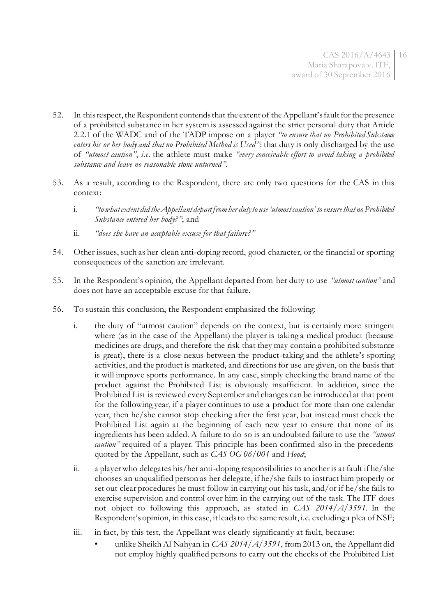- 52. In this respect, the Respondent contends that the extent of the Appellant's fault for the presence of a prohibited substance in her system is assessed against the strict personal duty that Article 2.2.1 of the WADC and of the TADP impose on a player *"to ensure that no Prohibited Substance enters his or her body and that no Prohibited Method is Used"*: that duty is only discharged by the use of *"utmost caution"*, *i.e*. the athlete must make *"every conceivable effort to avoid taking a prohibited substance and leave no reasonable stone unturned"*.
- 53. As a result, according to the Respondent, there are only two questions for the CAS in this context:
	- i. *"to what extent did the Appellant depart from her duty to use 'utmost caution' to ensure that no Prohibited Substance entered her body?"*; and
	- ii. *"does she have an acceptable excuse for that failure?"*
- 54. Other issues, such as her clean anti-doping record, good character, or the financial or sporting consequences of the sanction are irrelevant.
- 55. In the Respondent's opinion, the Appellant departed from her duty to use *"utmost caution"* and does not have an acceptable excuse for that failure.
- 56. To sustain this conclusion, the Respondent emphasized the following:
	- i. the duty of "utmost caution" depends on the context, but is certainly more stringent where (as in the case of the Appellant) the player is taking a medical product (because medicines are drugs, and therefore the risk that they may contain a prohibited substance is great), there is a close nexus between the product-taking and the athlete's sporting activities, and the product is marketed, and directions for use are given, on the basis that it will improve sports performance. In any case, simply checking the brand name of the product against the Prohibited List is obviously insufficient. In addition, since the Prohibited List is reviewed every September and changes can be introduced at that point for the following year, if a player continues to use a product for more than one calendar year, then he/she cannot stop checking after the first year, but instead must check the Prohibited List again at the beginning of each new year to ensure that none of its ingredients has been added. A failure to do so is an undoubted failure to use the *"utmost caution"* required of a player. This principle has been confirmed also in the precedents quoted by the Appellant, such as *CAS OG 06/001* and *Hood*;
	- ii. a player who delegates his/her anti-doping responsibilities to another is at fault if he/she chooses an unqualified person as her delegate, if he/she fails to instruct him properly or set out clear procedures he must follow in carrying out his task, and/or if he/she fails to exercise supervision and control over him in the carrying out of the task. The ITF does not object to following this approach, as stated in *CAS 2014/A/3591*. In the Respondent's opinion, in this case, it leads to the same result, i.e. excluding a plea of NSF;
	- iii. in fact, by this test, the Appellant was clearly significantly at fault, because:
		- unlike Sheikh Al Nahyan in *CAS 2014/A/3591*, from 2013 on, the Appellant did not employ highly qualified persons to carry out the checks of the Prohibited List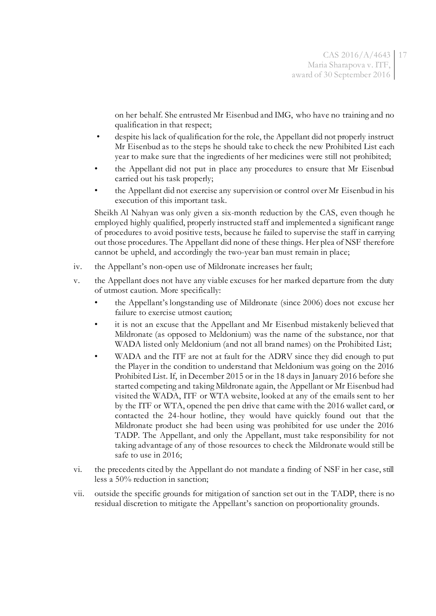on her behalf. She entrusted Mr Eisenbud and IMG, who have no training and no qualification in that respect;

- despite his lack of qualification for the role, the Appellant did not properly instruct Mr Eisenbud as to the steps he should take to check the new Prohibited List each year to make sure that the ingredients of her medicines were still not prohibited;
- the Appellant did not put in place any procedures to ensure that Mr Eisenbud carried out his task properly;
- the Appellant did not exercise any supervision or control over Mr Eisenbud in his execution of this important task.

Sheikh Al Nahyan was only given a six-month reduction by the CAS, even though he employed highly qualified, properly instructed staff and implemented a significant range of procedures to avoid positive tests, because he failed to supervise the staff in carrying out those procedures. The Appellant did none of these things. Her plea of NSF therefore cannot be upheld, and accordingly the two-year ban must remain in place;

- iv. the Appellant's non-open use of Mildronate increases her fault;
- v. the Appellant does not have any viable excuses for her marked departure from the duty of utmost caution. More specifically:
	- the Appellant's longstanding use of Mildronate (since 2006) does not excuse her failure to exercise utmost caution;
	- it is not an excuse that the Appellant and Mr Eisenbud mistakenly believed that Mildronate (as opposed to Meldonium) was the name of the substance, nor that WADA listed only Meldonium (and not all brand names) on the Prohibited List;
	- WADA and the ITF are not at fault for the ADRV since they did enough to put the Player in the condition to understand that Meldonium was going on the 2016 Prohibited List. If, in December 2015 or in the 18 days in January 2016 before she started competing and taking Mildronate again, the Appellant or Mr Eisenbud had visited the WADA, ITF or WTA website, looked at any of the emails sent to her by the ITF or WTA, opened the pen drive that came with the 2016 wallet card, or contacted the 24-hour hotline, they would have quickly found out that the Mildronate product she had been using was prohibited for use under the 2016 TADP. The Appellant, and only the Appellant, must take responsibility for not taking advantage of any of those resources to check the Mildronate would still be safe to use in 2016;
- vi. the precedents cited by the Appellant do not mandate a finding of NSF in her case, still less a 50% reduction in sanction;
- vii. outside the specific grounds for mitigation of sanction set out in the TADP, there is no residual discretion to mitigate the Appellant's sanction on proportionality grounds.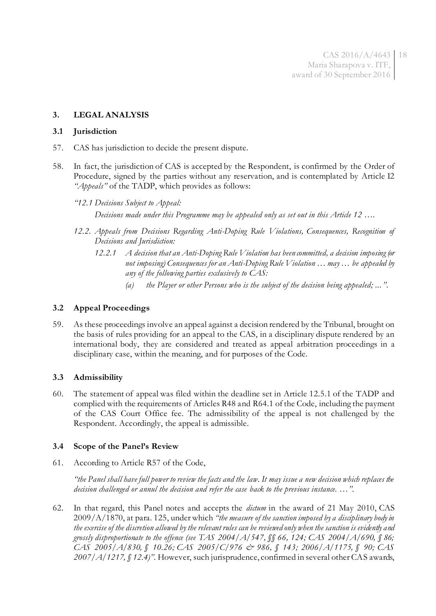#### **3. LEGAL ANALYSIS**

#### **3.1 Jurisdiction**

- 57. CAS has jurisdiction to decide the present dispute.
- 58. In fact, the jurisdiction of CAS is accepted by the Respondent, is confirmed by the Order of Procedure, signed by the parties without any reservation, and is contemplated by Article I2 *"Appeals"* of the TADP, which provides as follows:

*"12.1 Decisions Subject to Appeal:*

*Decisions made under this Programme may be appealed only as set out in this Article 12 ….*

- *12.2. Appeals from Decisions Regarding Anti-Doping Rule Violations, Consequences, Recognition of Decisions and Jurisdiction:*
	- *12.2.1 A decision that an Anti-Doping Rule Violation has been committed, a decision imposing (or not imposing) Consequences for an Anti-Doping Rule Violation … may … be appealed by any of the following parties exclusively to CAS:*
		- *(a) the Player or other Persons who is the subject of the decision being appealed; ... "*.

#### **3.2 Appeal Proceedings**

59. As these proceedings involve an appeal against a decision rendered by the Tribunal, brought on the basis of rules providing for an appeal to the CAS, in a disciplinary dispute rendered by an international body, they are considered and treated as appeal arbitration proceedings in a disciplinary case, within the meaning, and for purposes of the Code.

#### **3.3 Admissibility**

60. The statement of appeal was filed within the deadline set in Article 12.5.1 of the TADP and complied with the requirements of Articles R48 and R64.1 of the Code, including the payment of the CAS Court Office fee. The admissibility of the appeal is not challenged by the Respondent. Accordingly, the appeal is admissible.

#### **3.4 Scope of the Panel's Review**

61. According to Article R57 of the Code,

*"the Panel shall have full power to review the facts and the law. It may issue a new decision which replaces the decision challenged or annul the decision and refer the case back to the previous instance. …".*

62. In that regard, this Panel notes and accepts the *dictum* in the award of 21 May 2010, CAS 2009/A/1870, at para. 125, under which *"the measure of the sanction imposed by a disciplinary body in the exercise of the discretion allowed by the relevant rules can be reviewed only when the sanction is evidently and grossly disproportionate to the offence (see TAS 2004/A/547, §§ 66, 124; CAS 2004/A/690, § 86; CAS 2005/A/830, § 10.26; CAS 2005/C/976 & 986, § 143; 2006/A/1175, § 90; CAS 2007/A/1217, § 12.4)"*. However, such jurisprudence, confirmed in several other CAS awards,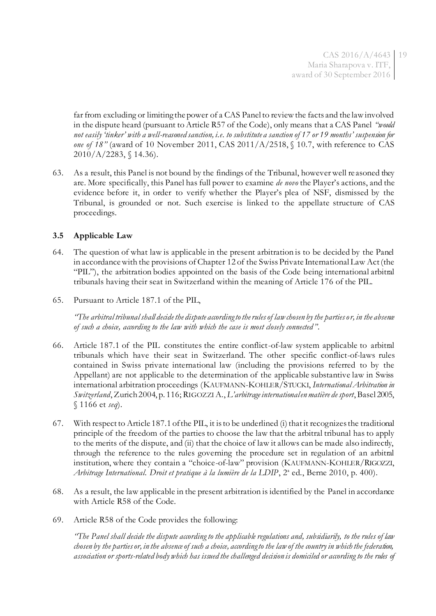far from excluding or limiting the power of a CAS Panel to review the facts and the law involved in the dispute heard (pursuant to Article R57 of the Code), only means that a CAS Panel *"would not easily 'tinker' with a well-reasoned sanction, i.e. to substitute a sanction of 17 or 19 months' suspension for one of 18"* (award of 10 November 2011, CAS 2011/A/2518, § 10.7, with reference to CAS 2010/A/2283, § 14.36).

63. As a result, this Panel is not bound by the findings of the Tribunal, however well reasoned they are. More specifically, this Panel has full power to examine *de novo* the Player's actions, and the evidence before it, in order to verify whether the Player's plea of NSF, dismissed by the Tribunal, is grounded or not. Such exercise is linked to the appellate structure of CAS proceedings.

### **3.5 Applicable Law**

- 64. The question of what law is applicable in the present arbitration is to be decided by the Panel in accordance with the provisions of Chapter 12 of the Swiss Private International Law Act (the "PIL"), the arbitration bodies appointed on the basis of the Code being international arbitral tribunals having their seat in Switzerland within the meaning of Article 176 of the PIL.
- 65. Pursuant to Article 187.1 of the PIL,

*"The arbitral tribunal shall decide the dispute according to the rules of law chosen by the parties or, in the absence of such a choice, according to the law with which the case is most closely connected "*.

- 66. Article 187.1 of the PIL constitutes the entire conflict-of-law system applicable to arbitral tribunals which have their seat in Switzerland. The other specific conflict-of-laws rules contained in Swiss private international law (including the provisions referred to by the Appellant) are not applicable to the determination of the applicable substantive law in Swiss international arbitration proceedings (KAUFMANN-KOHLER/STUCKI, *International Arbitration in Switzerland*, Zurich 2004, p. 116; RIGOZZIA., *L'arbitrage international en matière de sport*, Basel 2005, § 1166 et *seq*).
- 67. With respect to Article 187.1 of the PIL, it is to be underlined (i) that it recognizes the traditional principle of the freedom of the parties to choose the law that the arbitral tribunal has to apply to the merits of the dispute, and (ii) that the choice of law it allows can be made also indirectly, through the reference to the rules governing the procedure set in regulation of an arbitral institution, where they contain a "choice-of-law" provision (KAUFMANN-KOHLER/RIGOZZI, Arbitrage International. Droit et pratique à la lumière de la LDIP, 2<sup>ª</sup> ed., Berne 2010, p. 400).
- 68. As a result, the law applicable in the present arbitration is identified by the Panel in accordance with Article R58 of the Code.
- 69. Article R58 of the Code provides the following:

*"The Panel shall decide the dispute according to the applicable regulations and, subsidiarily, to the rules of law chosen by the parties or, in the absence of such a choice, according to the law of the country in which the federation, association or sports-related body which has issued the challenged decision is domiciled or according to the rules of*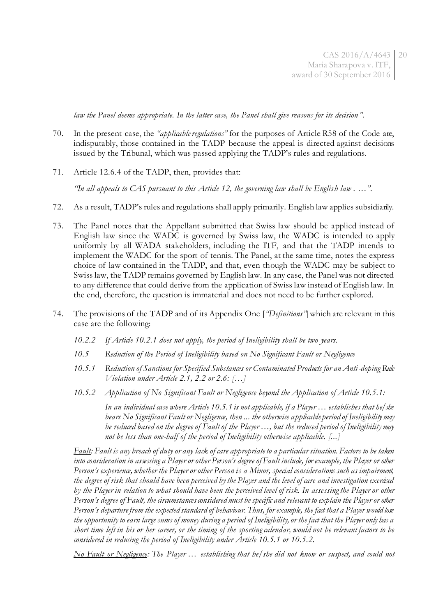*law the Panel deems appropriate. In the latter case, the Panel shall give reasons for its decision"*.

- 70. In the present case, the *"applicable regulations"* for the purposes of Article R58 of the Code are, indisputably, those contained in the TADP because the appeal is directed against decisions issued by the Tribunal, which was passed applying the TADP's rules and regulations.
- 71. Article 12.6.4 of the TADP, then, provides that:

*"In all appeals to CAS pursuant to this Article 12, the governing law shall be English law . …".*

- 72. As a result, TADP's rules and regulations shall apply primarily. English law applies subsidiarily.
- 73. The Panel notes that the Appellant submitted that Swiss law should be applied instead of English law since the WADC is governed by Swiss law, the WADC is intended to apply uniformly by all WADA stakeholders, including the ITF, and that the TADP intends to implement the WADC for the sport of tennis. The Panel, at the same time, notes the express choice of law contained in the TADP, and that, even though the WADC may be subject to Swiss law, the TADP remains governed by English law. In any case, the Panel was not directed to any difference that could derive from the application of Swiss law instead of English law. In the end, therefore, the question is immaterial and does not need to be further explored.
- 74. The provisions of the TADP and of its Appendix One [*"Definitions"*] which are relevant in this case are the following:
	- *10.2.2 If Article 10.2.1 does not apply, the period of Ineligibility shall be two years.*
	- *10.5 Reduction of the Period of Ineligibility based on No Significant Fault or Negligence*
	- *10.5.1 Reduction of Sanctions for Specified Substances or Contaminated Products for an Anti-doping Rule Violation under Article 2.1, 2.2 or 2.6: […]*
	- *10.5.2 Application of No Significant Fault or Negligence beyond the Application of Article 10.5.1:*

*In an individual case where Article 10.5.1 is not applicable, if a Player … establishes that he/she bears No Significant Fault or Negligence, then ... the otherwise applicable period of Ineligibility may be reduced based on the degree of Fault of the Player …, but the reduced period of Ineligibility may not be less than one-half of the period of Ineligibility otherwise applicable. [...]*

*Fault: Fault is any breach of duty or any lack of care appropriate to a particular situation. Factors to be taken into consideration in assessing a Player or other Person's degree of Fault include, for example, the Player or other Person's experience, whether the Player or other Person is a Minor, special considerations such as impairment, the degree of risk that should have been perceived by the Player and the level of care and investigation exercised*  by the Player in relation to what should have been the perceived level of risk. In assessing the Player or other *Person's degree of Fault, the circumstances considered must be specific and relevant to explain the Player or other Person's departure from the expected standard of behaviour. Thus, for example, the fact that a Player would lose the opportunity to earn large sums of money during a period of Ineligibility, or the fact that the Player only has a short time left in his or her career, or the timing of the sporting calendar, would not be relevant factors to be considered in reducing the period of Ineligibility under Article 10.5.1 or 10.5.2.* 

*No Fault or Negligence: The Player … establishing that he/she did not know or suspect, and could not*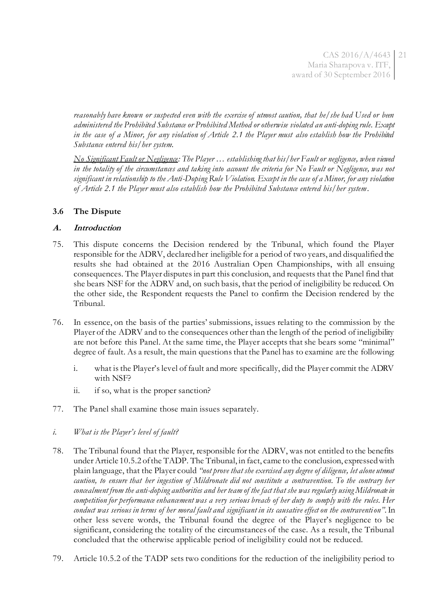*reasonably have known or suspected even with the exercise of utmost caution, that he/she had Used or been administered the Prohibited Substance or Prohibited Method or otherwise violated an anti-doping rule. Except*  in the case of a Minor, for any violation of Article 2.1 the Player must also establish how the Prohibited *Substance entered his/her system.* 

*No Significant Fault or Negligence: The Player … establishing that his/her Fault or negligence, when viewed*  in the totality of the circumstances and taking into account the criteria for No Fault or Negligence, was not *significant in relationship to the Anti-Doping Rule Violation. Except in the case of a Minor, for any violation of Article 2.1 the Player must also establish how the Prohibited Substance entered his/her system*.

# **3.6 The Dispute**

#### **A. Introduction**

- 75. This dispute concerns the Decision rendered by the Tribunal, which found the Player responsible for the ADRV, declared her ineligible for a period of two years, and disqualified the results she had obtained at the 2016 Australian Open Championships, with all ensuing consequences. The Player disputes in part this conclusion, and requests that the Panel find that she bears NSF for the ADRV and, on such basis, that the period of ineligibility be reduced. On the other side, the Respondent requests the Panel to confirm the Decision rendered by the Tribunal.
- 76. In essence, on the basis of the parties' submissions, issues relating to the commission by the Player of the ADRV and to the consequences other than the length of the period of ineligibility are not before this Panel. At the same time, the Player accepts that she bears some "minimal" degree of fault. As a result, the main questions that the Panel has to examine are the following:
	- i. what is the Player's level of fault and more specifically, did the Player commit the ADRV with NSF?
	- ii. if so, what is the proper sanction?
- 77. The Panel shall examine those main issues separately.
- *i. What is the Player's level of fault?*
- 78. The Tribunal found that the Player, responsible for the ADRV, was not entitled to the benefits under Article 10.5.2 of the TADP. The Tribunal, in fact, came to the conclusion, expressed with plain language, that the Player could *"not prove that she exercised any degree of diligence, let alone utmost*  caution, to ensure that her ingestion of Mildronate did not constitute a contravention. To the contrary her *concealment from the anti-doping authorities and her team of the fact that she was regularly using Mildronate in competition for performance enhancement was a very serious breach of her duty to comply with the rules. Her conduct was serious in terms of her moral fault and significant in its causative effect on the contravention"*.In other less severe words, the Tribunal found the degree of the Player's negligence to be significant, considering the totality of the circumstances of the case. As a result, the Tribunal concluded that the otherwise applicable period of ineligibility could not be reduced.
- 79. Article 10.5.2 of the TADP sets two conditions for the reduction of the ineligibility period to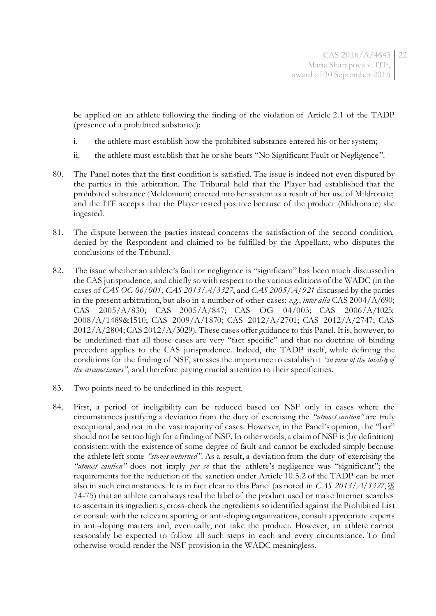be applied on an athlete following the finding of the violation of Article 2.1 of the TADP (presence of a prohibited substance):

- i. the athlete must establish how the prohibited substance entered his or her system;
- ii. the athlete must establish that he or she bears "No Significant Fault or Negligence".
- 80. The Panel notes that the first condition is satisfied. The issue is indeed not even disputed by the parties in this arbitration. The Tribunal held that the Player had established that the prohibited substance (Meldonium) entered into her system as a result of her use of Mildronate; and the ITF accepts that the Player tested positive because of the product (Mildronate) she ingested.
- 81. The dispute between the parties instead concerns the satisfaction of the second condition, denied by the Respondent and claimed to be fulfilled by the Appellant, who disputes the conclusions of the Tribunal.
- 82. The issue whether an athlete's fault or negligence is "significant" has been much discussed in the CAS jurisprudence, and chiefly so with respect to the various editions of the WADC (in the cases of *CAS OG 06/001*, *CAS 2013/A/3327*, and *CAS 2005/A/921* discussed by the parties in the present arbitration, but also in a number of other cases: *e.g.*, *inter alia* CAS 2004/A/690; CAS 2005/A/830; CAS 2005/A/847; CAS OG 04/003; CAS 2006/A/1025; 2008/A/1489&1510; CAS 2009/A/1870; CAS 2012/A/2701; CAS 2012/A/2747; CAS 2012/A/2804; CAS 2012/A/3029). These cases offer guidance to this Panel. It is, however, to be underlined that all those cases are very "fact specific" and that no doctrine of binding precedent applies to the CAS jurisprudence. Indeed, the TADP itself, while defining the conditions for the finding of NSF, stresses the importance to establish it *"in view of the totality of the circumstances"*, and therefore paying crucial attention to their specificities.
- 83. Two points need to be underlined in this respect.
- 84. First, a period of ineligibility can be reduced based on NSF only in cases where the circumstances justifying a deviation from the duty of exercising the *"utmost caution"* are truly exceptional, and not in the vast majority of cases. However, in the Panel's opinion, the "bar" should not be set too high for a finding of NSF. In other words, a claim of NSF is (by definition) consistent with the existence of some degree of fault and cannot be excluded simply because the athlete left some *"stones unturned"*. As a result, a deviation from the duty of exercising the *"utmost caution"* does not imply *per se* that the athlete's negligence was "significant"; the requirements for the reduction of the sanction under Article 10.5.2 of the TADP can be met also in such circumstances. It is in fact clear to this Panel (as noted in *CAS 2013/A/3327*, §§ 74-75) that an athlete can always read the label of the product used or make Internet searches to ascertain its ingredients, cross-check the ingredients so identified against the Prohibited List or consult with the relevant sporting or anti-doping organizations, consult appropriate experts in anti-doping matters and, eventually, not take the product. However, an athlete cannot reasonably be expected to follow all such steps in each and every circumstance. To find otherwise would render the NSF provision in the WADC meaningless.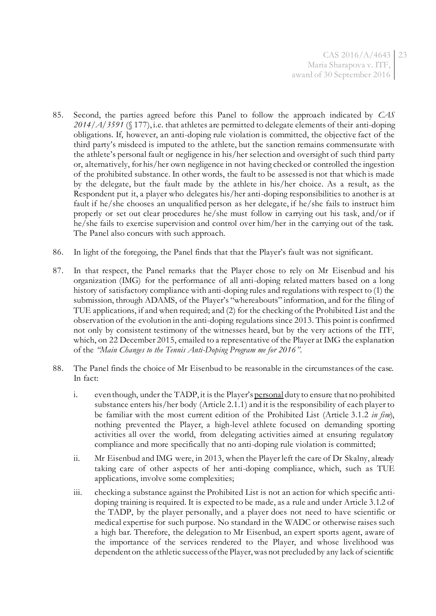- 85. Second, the parties agreed before this Panel to follow the approach indicated by *CAS 2014/A/3591* (§ 177), i.e. that athletes are permitted to delegate elements of their anti-doping obligations. If, however, an anti-doping rule violation is committed, the objective fact of the third party's misdeed is imputed to the athlete, but the sanction remains commensurate with the athlete's personal fault or negligence in his/her selection and oversight of such third party or, alternatively, for his/her own negligence in not having checked or controlled the ingestion of the prohibited substance. In other words, the fault to be assessed is not that which is made by the delegate, but the fault made by the athlete in his/her choice. As a result, as the Respondent put it, a player who delegates his/her anti-doping responsibilities to another is at fault if he/she chooses an unqualified person as her delegate, if he/she fails to instruct him properly or set out clear procedures he/she must follow in carrying out his task, and/or if he/she fails to exercise supervision and control over him/her in the carrying out of the task. The Panel also concurs with such approach.
- 86. In light of the foregoing, the Panel finds that that the Player's fault was not significant.
- 87. In that respect, the Panel remarks that the Player chose to rely on Mr Eisenbud and his organization (IMG) for the performance of all anti-doping related matters based on a long history of satisfactory compliance with anti-doping rules and regulations with respect to (1) the submission, through ADAMS, of the Player's "whereabouts" information, and for the filing of TUE applications, if and when required; and (2) for the checking of the Prohibited List and the observation of the evolution in the anti-doping regulations since 2013. This point is confirmed not only by consistent testimony of the witnesses heard, but by the very actions of the ITF, which, on 22 December 2015, emailed to a representative of the Player at IMG the explanation of the *"Main Changes to the Tennis Anti-Doping Program me for 2016"*.
- 88. The Panel finds the choice of Mr Eisenbud to be reasonable in the circumstances of the case. In fact:
	- i. even though, under the TADP, it is the Player's personal duty to ensure that no prohibited substance enters his/her body (Article 2.1.1) and it is the responsibility of each player to be familiar with the most current edition of the Prohibited List (Article 3.1.2 *in fine*), nothing prevented the Player, a high-level athlete focused on demanding sporting activities all over the world, from delegating activities aimed at ensuring regulatory compliance and more specifically that no anti-doping rule violation is committed;
	- ii. Mr Eisenbud and IMG were, in 2013, when the Player left the care of Dr Skalny, already taking care of other aspects of her anti-doping compliance, which, such as TUE applications, involve some complexities;
	- iii. checking a substance against the Prohibited List is not an action for which specific antidoping training is required. It is expected to be made, as a rule and under Article 3.1.2 of the TADP, by the player personally, and a player does not need to have scientific or medical expertise for such purpose. No standard in the WADC or otherwise raises such a high bar. Therefore, the delegation to Mr Eisenbud, an expert sports agent, aware of the importance of the services rendered to the Player, and whose livelihood was dependent on the athletic success of the Player, was not precluded by any lack of scientific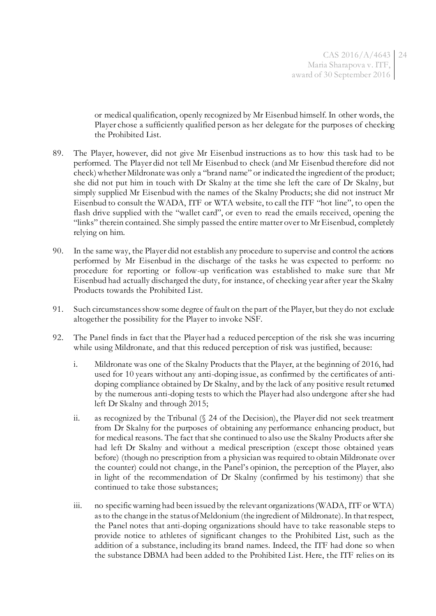or medical qualification, openly recognized by Mr Eisenbud himself. In other words, the Player chose a sufficiently qualified person as her delegate for the purposes of checking the Prohibited List.

- 89. The Player, however, did not give Mr Eisenbud instructions as to how this task had to be performed. The Player did not tell Mr Eisenbud to check (and Mr Eisenbud therefore did not check) whether Mildronate was only a "brand name" or indicated the ingredient of the product; she did not put him in touch with Dr Skalny at the time she left the care of Dr Skalny, but simply supplied Mr Eisenbud with the names of the Skalny Products; she did not instruct Mr Eisenbud to consult the WADA, ITF or WTA website, to call the ITF "hot line", to open the flash drive supplied with the "wallet card", or even to read the emails received, opening the "links" therein contained. She simply passed the entire matter over to Mr Eisenbud, completely relying on him.
- 90. In the same way, the Player did not establish any procedure to supervise and control the actions performed by Mr Eisenbud in the discharge of the tasks he was expected to perform: no procedure for reporting or follow-up verification was established to make sure that Mr Eisenbud had actually discharged the duty, for instance, of checking year after year the Skalny Products towards the Prohibited List.
- 91. Such circumstances show some degree of fault on the part of the Player, but they do not exclude altogether the possibility for the Player to invoke NSF.
- 92. The Panel finds in fact that the Player had a reduced perception of the risk she was incurring while using Mildronate, and that this reduced perception of risk was justified, because:
	- i. Mildronate was one of the Skalny Products that the Player, at the beginning of 2016, had used for 10 years without any anti-doping issue, as confirmed by the certificates of antidoping compliance obtained by Dr Skalny, and by the lack of any positive result returned by the numerous anti-doping tests to which the Player had also undergone after she had left Dr Skalny and through 2015;
	- ii. as recognized by the Tribunal (§ 24 of the Decision), the Player did not seek treatment from Dr Skalny for the purposes of obtaining any performance enhancing product, but for medical reasons. The fact that she continued to also use the Skalny Products after she had left Dr Skalny and without a medical prescription (except those obtained years before) (though no prescription from a physician was required to obtain Mildronate over the counter) could not change, in the Panel's opinion, the perception of the Player, also in light of the recommendation of Dr Skalny (confirmed by his testimony) that she continued to take those substances;
	- iii. no specific warning had been issued by the relevant organizations (WADA, ITF or WTA) as to the change in the status of Meldonium (the ingredient of Mildronate). In that respect, the Panel notes that anti-doping organizations should have to take reasonable steps to provide notice to athletes of significant changes to the Prohibited List, such as the addition of a substance, including its brand names. Indeed, the ITF had done so when the substance DBMA had been added to the Prohibited List. Here, the ITF relies on its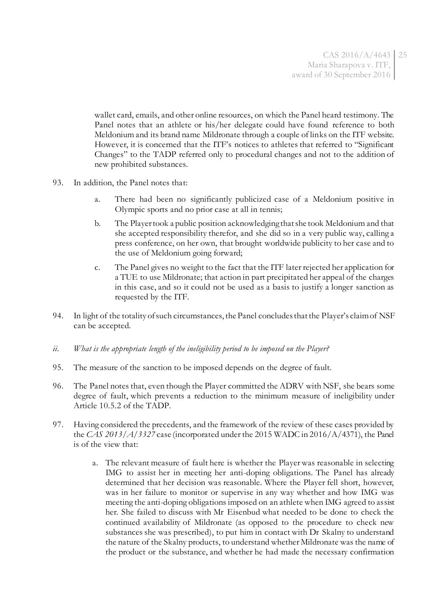wallet card, emails, and other online resources, on which the Panel heard testimony. The Panel notes that an athlete or his/her delegate could have found reference to both Meldonium and its brand name Mildronate through a couple of links on the ITF website. However, it is concerned that the ITF's notices to athletes that referred to "Significant Changes" to the TADP referred only to procedural changes and not to the addition of new prohibited substances.

- 93. In addition, the Panel notes that:
	- a. There had been no significantly publicized case of a Meldonium positive in Olympic sports and no prior case at all in tennis;
	- b. The Player took a public position acknowledging that she took Meldonium and that she accepted responsibility therefor, and she did so in a very public way, calling a press conference, on her own, that brought worldwide publicity to her case and to the use of Meldonium going forward;
	- c. The Panel gives no weight to the fact that the ITF later rejected her application for a TUE to use Mildronate; that action in part precipitated her appeal of the charges in this case, and so it could not be used as a basis to justify a longer sanction as requested by the ITF.
- 94. In light of the totality of such circumstances, the Panel concludes that the Player's claim of NSF can be accepted.
- *ii. What is the appropriate length of the ineligibility period to be imposed on the Player?*
- 95. The measure of the sanction to be imposed depends on the degree of fault.
- 96. The Panel notes that, even though the Player committed the ADRV with NSF, she bears some degree of fault, which prevents a reduction to the minimum measure of ineligibility under Article 10.5.2 of the TADP.
- 97. Having considered the precedents, and the framework of the review of these cases provided by the *CAS 2013/A/3327* case (incorporated under the 2015 WADC in 2016/A/4371), the Panel is of the view that:
	- a. The relevant measure of fault here is whether the Player was reasonable in selecting IMG to assist her in meeting her anti-doping obligations. The Panel has already determined that her decision was reasonable. Where the Player fell short, however, was in her failure to monitor or supervise in any way whether and how IMG was meeting the anti-doping obligations imposed on an athlete when IMG agreed to assist her. She failed to discuss with Mr Eisenbud what needed to be done to check the continued availability of Mildronate (as opposed to the procedure to check new substances she was prescribed), to put him in contact with Dr Skalny to understand the nature of the Skalny products, to understand whether Mildronate was the name of the product or the substance, and whether he had made the necessary confirmation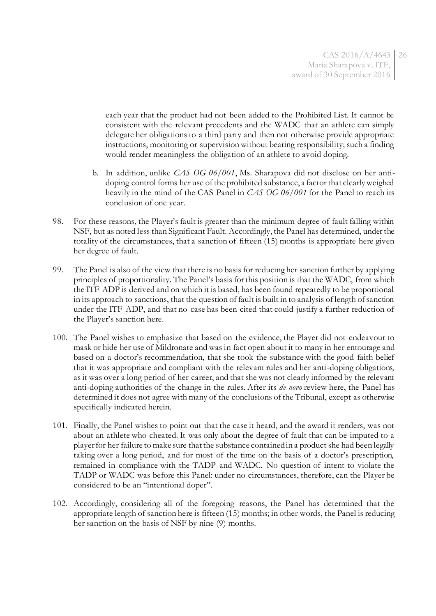each year that the product had not been added to the Prohibited List. It cannot be consistent with the relevant precedents and the WADC that an athlete can simply delegate her obligations to a third party and then not otherwise provide appropriate instructions, monitoring or supervision without bearing responsibility; such a finding would render meaningless the obligation of an athlete to avoid doping.

- b. In addition, unlike *CAS OG 06/001*, Ms. Sharapova did not disclose on her antidoping control forms her use of the prohibited substance, a factor that clearly weighed heavily in the mind of the CAS Panel in *CAS OG 06/001* for the Panel to reach its conclusion of one year.
- 98. For these reasons, the Player's fault is greater than the minimum degree of fault falling within NSF, but as noted less than Significant Fault. Accordingly, the Panel has determined, under the totality of the circumstances, that a sanction of fifteen (15) months is appropriate here given her degree of fault.
- 99. The Panel is also of the view that there is no basis for reducing her sanction further by applying principles of proportionality. The Panel's basis for this position is that the WADC, from which the ITF ADP is derived and on which it is based, has been found repeatedly to be proportional in its approach to sanctions, that the question of fault is built in to analysis of length of sanction under the ITF ADP, and that no case has been cited that could justify a further reduction of the Player's sanction here.
- 100. The Panel wishes to emphasize that based on the evidence, the Player did not endeavour to mask or hide her use of Mildronate and was in fact open about it to many in her entourage and based on a doctor's recommendation, that she took the substance with the good faith belief that it was appropriate and compliant with the relevant rules and her anti-doping obligations, as it was over a long period of her career, and that she was not clearly informed by the relevant anti-doping authorities of the change in the rules. After its *de novo* review here, the Panel has determined it does not agree with many of the conclusions of the Tribunal, except as otherwise specifically indicated herein.
- 101. Finally, the Panel wishes to point out that the case it heard, and the award it renders, was not about an athlete who cheated. It was only about the degree of fault that can be imputed to a player for her failure to make sure that the substance contained in a product she had been legally taking over a long period, and for most of the time on the basis of a doctor's prescription, remained in compliance with the TADP and WADC. No question of intent to violate the TADP or WADC was before this Panel: under no circumstances, therefore, can the Player be considered to be an "intentional doper".
- 102. Accordingly, considering all of the foregoing reasons, the Panel has determined that the appropriate length of sanction here is fifteen (15) months; in other words, the Panel is reducing her sanction on the basis of NSF by nine (9) months.